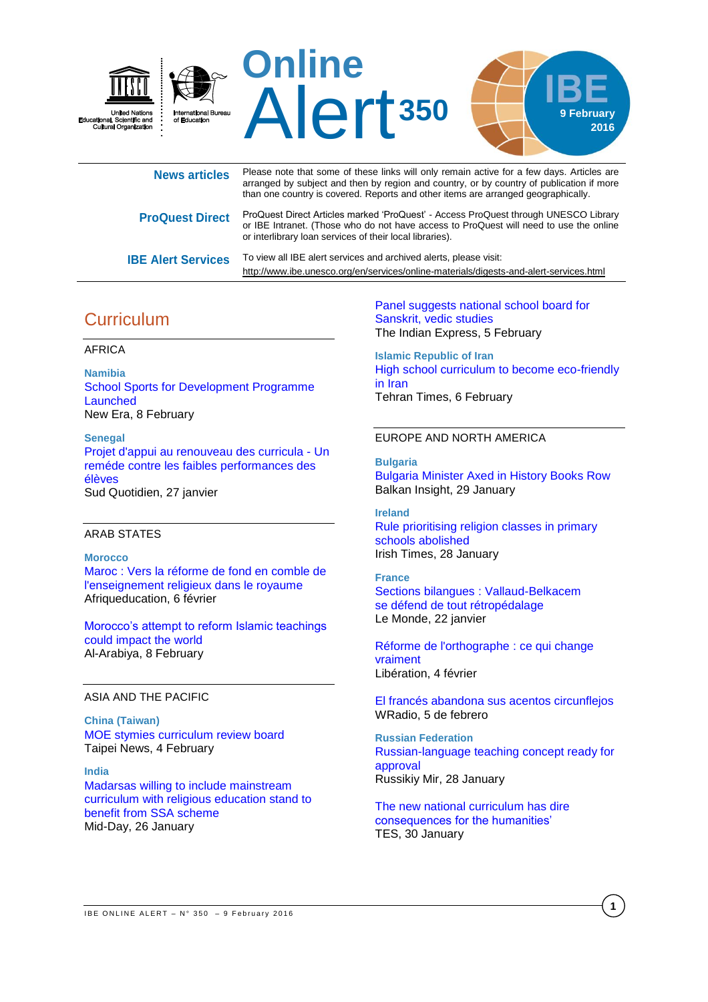

| <b>News articles</b>      | Please note that some of these links will only remain active for a few days. Articles are<br>arranged by subject and then by region and country, or by country of publication if more<br>than one country is covered. Reports and other items are arranged geographically. |
|---------------------------|----------------------------------------------------------------------------------------------------------------------------------------------------------------------------------------------------------------------------------------------------------------------------|
| <b>ProQuest Direct</b>    | ProQuest Direct Articles marked 'ProQuest' - Access ProQuest through UNESCO Library<br>or IBE Intranet. (Those who do not have access to ProQuest will need to use the online<br>or interlibrary loan services of their local libraries).                                  |
| <b>IBE Alert Services</b> | To view all IBE alert services and archived alerts, please visit:<br>http://www.ibe.unesco.org/en/services/online-materials/digests-and-alert-services.html                                                                                                                |

# **Curriculum**

### AFRICA

**Namibia** [School Sports for Development Programme](http://allafrica.com/stories/201602082373.html)  [Launched](http://allafrica.com/stories/201602082373.html) New Era, 8 February

**Senegal** [Projet d'appui au renouveau des curricula -](http://fr.allafrica.com/stories/201601271331.html) Un [reméde contre les faibles performances des](http://fr.allafrica.com/stories/201601271331.html)  [élèves](http://fr.allafrica.com/stories/201601271331.html) Sud Quotidien, 27 janvier

## ARAB STATES

**Morocco** [Maroc : Vers la réforme de fond en comble de](http://afriqueeducation.com/education/maroc_vers_la_r_forme_de_fond_en_comble_de_l_enseignement_religieux_dans_le_royaume)  [l'enseignement religieux dans le royaume](http://afriqueeducation.com/education/maroc_vers_la_r_forme_de_fond_en_comble_de_l_enseignement_religieux_dans_le_royaume) Afriqueducation, 6 février

[Morocco's attempt to reform Islamic teachings](http://english.alarabiya.net/en/views/2016/02/08/Morocco-s-attempt-to-reform-Islamic-teachings-could-impact-the-world.html)  [could impact the world](http://english.alarabiya.net/en/views/2016/02/08/Morocco-s-attempt-to-reform-Islamic-teachings-could-impact-the-world.html) Al-Arabiya, 8 February

## ASIA AND THE PACIFIC

**China (Taiwan)** [MOE stymies curriculum review board](http://www.taipeitimes.com/News/front/archives/2016/02/04/2003638779) Taipei News, 4 February

**India** [Madarsas willing to include mainstream](http://www.mid-day.com/articles/madarsas-willing-to-include-mainstream-curriculum-with-religious-education-stand-to-beneft-from-ssa-scheme/16899160)  [curriculum with religious education stand to](http://www.mid-day.com/articles/madarsas-willing-to-include-mainstream-curriculum-with-religious-education-stand-to-beneft-from-ssa-scheme/16899160)  [benefit from SSA scheme](http://www.mid-day.com/articles/madarsas-willing-to-include-mainstream-curriculum-with-religious-education-stand-to-beneft-from-ssa-scheme/16899160) Mid-Day, 26 January

[Panel suggests national school board for](http://indianexpress.com/article/india/india-news-india/panel-suggests-national-school-board-for-sanskrit-vedic-studies/)  [Sanskrit, vedic](http://indianexpress.com/article/india/india-news-india/panel-suggests-national-school-board-for-sanskrit-vedic-studies/) studies The Indian Express, 5 February

**Islamic Republic of Iran** [High school curriculum to become eco-friendly](http://www.tehrantimes.com/index_View.asp?code=252776)  [in Iran](http://www.tehrantimes.com/index_View.asp?code=252776) Tehran Times, 6 February

### EUROPE AND NORTH AMERICA

**Bulgaria** [Bulgaria Minister Axed in History Books Row](http://www.balkaninsight.com/en/article/bulgaria-pm-demands-the-resignation-of-education-minister-01-29-2016) Balkan Insight, 29 January

**Ireland** [Rule prioritising religion classes in primary](http://www.irishtimes.com/news/education/rule-prioritising-religion-classes-in-primary-schools-abolished-1.2514202)  [schools abolished](http://www.irishtimes.com/news/education/rule-prioritising-religion-classes-in-primary-schools-abolished-1.2514202) Irish Times, 28 January

**France** Sections bilangues [: Vallaud-Belkacem](http://www.lemonde.fr/education/article/2016/01/22/sections-bilangues-najat-vallaud-belkacem-se-defend-de-tout-retropedalage_4852069_1473685.html)  se [défend de tout rétropédalage](http://www.lemonde.fr/education/article/2016/01/22/sections-bilangues-najat-vallaud-belkacem-se-defend-de-tout-retropedalage_4852069_1473685.html) Le Monde, 22 janvier

[Réforme de l'orthographe](http://www.liberation.fr/france/2016/02/04/reforme-de-l-orthographe-ce-qui-change-vraiment_1431009) : ce qui change [vraiment](http://www.liberation.fr/france/2016/02/04/reforme-de-l-orthographe-ce-qui-change-vraiment_1431009) Libération, 4 février

[El francés abandona sus acentos circunflejos](http://www.wradio.com.co/noticias/sociedad/el-frances-abandona-sus-acentos-circunflejos/20160205/nota/3054108.aspx) WRadio, 5 de febrero

**Russian Federation** [Russian-language teaching concept ready for](http://russkiymir.ru/en/news/201891/)  [approval](http://russkiymir.ru/en/news/201891/) [Russikiy Mir, 28 January](https://www.tes.com/news/school-news/breaking-views/new-national-curriculum-has-dire-consequences-humanities)

[The new national curriculum has dire](https://www.tes.com/news/school-news/breaking-views/new-national-curriculum-has-dire-consequences-humanities)  [consequences for the humanities'](https://www.tes.com/news/school-news/breaking-views/new-national-curriculum-has-dire-consequences-humanities) TES, 30 January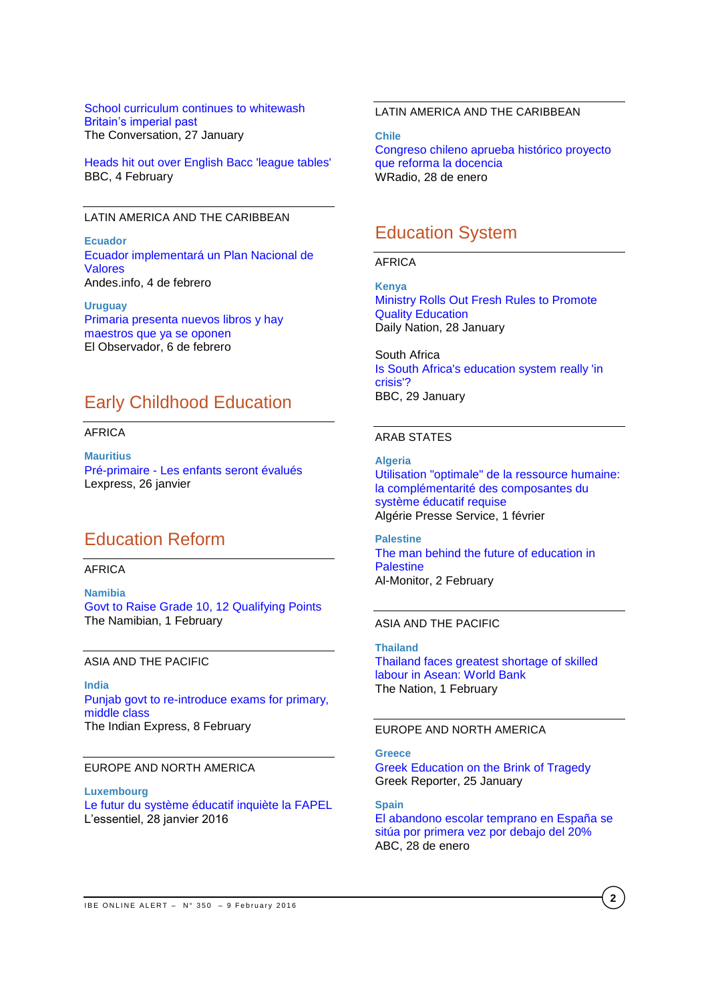[School curriculum continues to whitewash](http://theconversation.com/school-curriculum-continues-to-whitewash-britains-imperial-past-53577)  [Britain's imperial past](http://theconversation.com/school-curriculum-continues-to-whitewash-britains-imperial-past-53577) The Conversation, 27 January

[Heads hit out over English Bacc 'league tables'](http://www.bbc.com/news/education-35484120) BBC, 4 February

## LATIN AMERICA AND THE CARIBBEAN

**Ecuador** [Ecuador implementará un Plan Nacional de](http://www.andes.info.ec/es/noticias/ecuador-implementara-plan-nacional-valores.html-0)  [Valores](http://www.andes.info.ec/es/noticias/ecuador-implementara-plan-nacional-valores.html-0) Andes.info, 4 de febrero

**Uruguay** [Primaria presenta nuevos libros y hay](http://www.elobservador.com.uy/primaria-presenta-nuevos-libros-y-hay-maestros-que-ya-se-oponen-n863562)  [maestros que ya se oponen](http://www.elobservador.com.uy/primaria-presenta-nuevos-libros-y-hay-maestros-que-ya-se-oponen-n863562) El Observador, 6 de febrero

## Early Childhood Education

#### AFRICA

**Mauritius** Pré-primaire - [Les enfants seront évalués](http://fr.allafrica.com/stories/201601261576.html) Lexpress, 26 janvier

## Education Reform

## **AFRICA**

**Namibia** [Govt to Raise Grade 10, 12 Qualifying Points](http://allafrica.com/stories/201602011916.html) The Namibian, 1 February

#### ASIA AND THE PACIFIC

**India** [Punjab govt to re-introduce exams for primary,](http://indianexpress.com/article/education/punjab-govt-to-re-introduce-exams-for-primary-middle-class-students/)  [middle class](http://indianexpress.com/article/education/punjab-govt-to-re-introduce-exams-for-primary-middle-class-students/) The Indian Express, 8 February

### EUROPE AND NORTH AMERICA

**Luxembourg** [Le futur du système éducatif inquiète la FAPEL](http://www.lessentiel.lu/fr/news/luxembourg/story/27586126) L'essentiel, 28 janvier 2016

## LATIN AMERICA AND THE CARIBBEAN

**Chile** [Congreso chileno aprueba histórico proyecto](http://www.wradio.com.co/noticias/internacional/congreso-chileno-aprueba-historico-proyecto-que-reforma-la-docencia/20160128/nota/3048303.aspx)  [que reforma la docencia](http://www.wradio.com.co/noticias/internacional/congreso-chileno-aprueba-historico-proyecto-que-reforma-la-docencia/20160128/nota/3048303.aspx) WRadio, 28 de enero

## Education System

#### AFRICA

**Kenya** [Ministry Rolls Out Fresh Rules to Promote](http://allafrica.com/stories/201601290050.html)  [Quality Education](http://allafrica.com/stories/201601290050.html) Daily Nation, 28 January

South Africa [Is South Africa's education system really 'in](http://www.bbc.com/news/world-africa-35427853)  [crisis'?](http://www.bbc.com/news/world-africa-35427853) BBC, 29 January

#### ARAB STATES

**Algeria** [Utilisation "optimale" de la ressource humaine:](http://www.aps.dz/economie/35894-utilisation-optimale-de-la-ressource-humaine-la-compl%C3%A9mentarit%C3%A9-des-composantes-du-syst%C3%A8me-%C3%A9ducatif-requise)  [la complémentarité des composantes du](http://www.aps.dz/economie/35894-utilisation-optimale-de-la-ressource-humaine-la-compl%C3%A9mentarit%C3%A9-des-composantes-du-syst%C3%A8me-%C3%A9ducatif-requise)  [système éducatif requise](http://www.aps.dz/economie/35894-utilisation-optimale-de-la-ressource-humaine-la-compl%C3%A9mentarit%C3%A9-des-composantes-du-syst%C3%A8me-%C3%A9ducatif-requise) Algérie Presse Service, 1 février

**Palestine** [The man behind the future of education in](http://www.al-monitor.com/pulse/originals/2016/02/palestinian-minister-reform-education-sector.html)  **[Palestine](http://www.al-monitor.com/pulse/originals/2016/02/palestinian-minister-reform-education-sector.html)** Al-Monitor, 2 February

#### ASIA AND THE PACIFIC

**Thailand**  [Thailand faces greatest shortage of skilled](http://www.nationmultimedia.com/national/Thailand-faces-greatest-shortage-of-skilled-labour-30278222.html)  [labour in Asean: World Bank](http://www.nationmultimedia.com/national/Thailand-faces-greatest-shortage-of-skilled-labour-30278222.html) The Nation, 1 February

#### EUROPE AND NORTH AMERICA

### **Greece**

[Greek Education on the Brink of Tragedy](http://greece.greekreporter.com/2016/01/25/greek-education-on-the-brink-of-tragedy/) Greek Reporter, 25 January

**Spain** [El abandono escolar temprano en España se](http://www.abc.es/sociedad/abci-educacion-abandono-escolar-temprano-espana-situa-primera-debajo-20-por-ciento-201601281404_noticia.html)  [sitúa por primera vez por debajo del 20%](http://www.abc.es/sociedad/abci-educacion-abandono-escolar-temprano-espana-situa-primera-debajo-20-por-ciento-201601281404_noticia.html) ABC, 28 de enero

**2**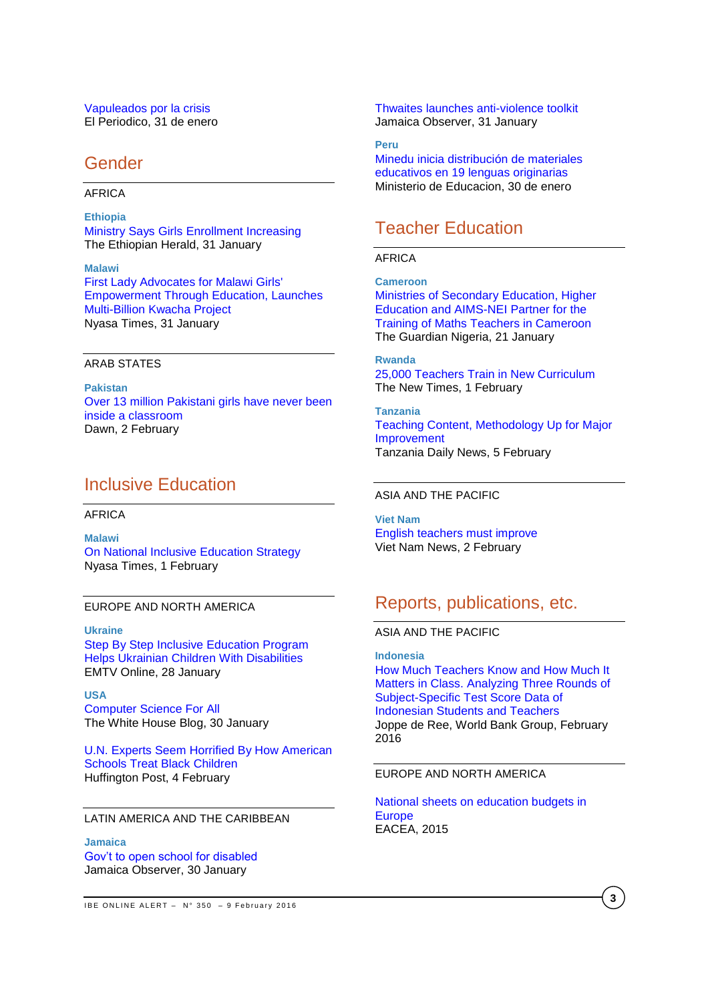### [Vapuleados por la crisis](http://www.elperiodico.com/es/noticias/educacion/preinscripcion-escolar-pugna-entre-publica-privada-4859424) El Periodico, 31 de enero

## Gender

## AFRICA

**Ethiopia** [Ministry Says Girls Enrollment Increasing](http://allafrica.com/stories/201602011230.html) The Ethiopian Herald, 31 January

**Malawi** [First Lady Advocates for Malawi Girls'](http://allafrica.com/stories/201602011056.html)  [Empowerment Through Education, Launches](http://allafrica.com/stories/201602011056.html)  [Multi-Billion Kwacha Project](http://allafrica.com/stories/201602011056.html) Nyasa Times, 31 January

## ARAB STATES

**Pakistan** [Over 13 million Pakistani girls have never been](http://www.dawn.com/news/1236966/over-13-million-pakistani-girls-have-never-been-inside-a-classroom)  [inside a classroom](http://www.dawn.com/news/1236966/over-13-million-pakistani-girls-have-never-been-inside-a-classroom) Dawn, 2 February

# Inclusive Education

#### AFRICA

**Malawi** [On National Inclusive Education Strategy](http://allafrica.com/stories/201602020612.html) Nyasa Times, 1 February

## EUROPE AND NORTH AMERICA

**Ukraine** [Step By Step Inclusive Education Program](http://www.emtv.com.pg/article.aspx?slug=Step-By-Step-Inclusive-Education-Program-Helps-Ukrainian-Children-With-Disabilities-&subcategory=Health)  [Helps Ukrainian Children With Disabilities](http://www.emtv.com.pg/article.aspx?slug=Step-By-Step-Inclusive-Education-Program-Helps-Ukrainian-Children-With-Disabilities-&subcategory=Health) EMTV Online, 28 January

**USA** [Computer Science For All](https://www.whitehouse.gov/blog/2016/01/30/computer-science-all) The White House Blog, 30 January

[U.N. Experts Seem Horrified By How American](http://www.huffingtonpost.com/entry/school-discrimination-united-nations_us_56b141e1e4b01d80b24474d3)  [Schools Treat Black Children](http://www.huffingtonpost.com/entry/school-discrimination-united-nations_us_56b141e1e4b01d80b24474d3) Huffington Post, 4 February

## LATIN AMERICA AND THE CARIBBEAN

**Jamaica**

[Gov't to open school for disabled](http://www.jamaicaobserver.com/magazines/career/Gov-t-to-open-school-for-disabled_49491) Jamaica Observer, 30 January

[Thwaites launches anti-violence toolkit](http://www.jamaicaobserver.com/magazines/career/Thwaites-launches-anti-violence-toolkit_50260) Jamaica Observer, 31 January

**Peru** [Minedu inicia distribución de materiales](http://www.minedu.gob.pe/n/noticia.php?id=36549)  [educativos en 19 lenguas originarias](http://www.minedu.gob.pe/n/noticia.php?id=36549) Ministerio de Educacion, 30 de enero

# Teacher Education

## AFRICA

**Cameroon** [Ministries of Secondary Education, Higher](http://www.ngrguardiannews.com/2016/01/ministries-of-secondary-education-higher-education-and-aims-nei-partner-for-the-training-of-maths-teachers-in-cameroon/)  [Education and AIMS-NEI Partner for the](http://www.ngrguardiannews.com/2016/01/ministries-of-secondary-education-higher-education-and-aims-nei-partner-for-the-training-of-maths-teachers-in-cameroon/)  [Training of Maths Teachers in Cameroon](http://www.ngrguardiannews.com/2016/01/ministries-of-secondary-education-higher-education-and-aims-nei-partner-for-the-training-of-maths-teachers-in-cameroon/) The Guardian Nigeria, 21 January

### **Rwanda**

[25,000 Teachers Train in New Curriculum](http://allafrica.com/stories/201602010279.html) The New Times, 1 February

**Tanzania** [Teaching Content, Methodology Up for Major](http://allafrica.com/stories/201602050365.html)  [Improvement](http://allafrica.com/stories/201602050365.html) Tanzania Daily News, 5 February

### ASIA AND THE PACIFIC

**Viet Nam** [English teachers must improve](http://vietnamnews.vn/opinion/281980/english-teachers-must-improve.html) Viet Nam News, 2 February

# Reports, publications, etc.

## ASIA AND THE PACIFIC

**Indonesia** [How Much Teachers Know and How Much It](http://www-wds.worldbank.org/external/default/WDSContentServer/WDSP/IB/2016/02/02/090224b084133274/1_0/Rendered/PDF/How0much0teach0tudents0and0teachers.pdf)  [Matters in Class. Analyzing Three Rounds of](http://www-wds.worldbank.org/external/default/WDSContentServer/WDSP/IB/2016/02/02/090224b084133274/1_0/Rendered/PDF/How0much0teach0tudents0and0teachers.pdf)  [Subject-Specific Test Score Data of](http://www-wds.worldbank.org/external/default/WDSContentServer/WDSP/IB/2016/02/02/090224b084133274/1_0/Rendered/PDF/How0much0teach0tudents0and0teachers.pdf)  [Indonesian Students and Teachers](http://www-wds.worldbank.org/external/default/WDSContentServer/WDSP/IB/2016/02/02/090224b084133274/1_0/Rendered/PDF/How0much0teach0tudents0and0teachers.pdf) Joppe de Ree, World Bank Group, February 2016

## EUROPE AND NORTH AMERICA

[National sheets on education budgets in](http://bookshop.europa.eu/en/national-sheets-on-education-budgets-in-europe-pbECAG16001/?CatalogCategoryID=AGwKABstsBgAAAEjpJEY4e5L)  **[Europe](http://bookshop.europa.eu/en/national-sheets-on-education-budgets-in-europe-pbECAG16001/?CatalogCategoryID=AGwKABstsBgAAAEjpJEY4e5L)** EACEA, 2015

**3**